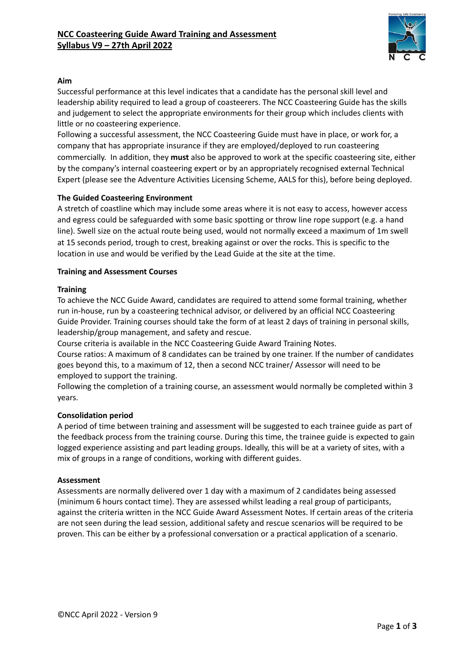

## **Aim**

Successful performance at this level indicates that a candidate has the personal skill level and leadership ability required to lead a group of coasteerers. The NCC Coasteering Guide has the skills and judgement to select the appropriate environments for their group which includes clients with little or no coasteering experience.

Following a successful assessment, the NCC Coasteering Guide must have in place, or work for, a company that has appropriate insurance if they are employed/deployed to run coasteering commercially. In addition, they **must** also be approved to work at the specific coasteering site, either by the company's internal coasteering expert or by an appropriately recognised external Technical Expert (please see the Adventure Activities Licensing Scheme, AALS for this), before being deployed.

## **The Guided Coasteering Environment**

A stretch of coastline which may include some areas where it is not easy to access, however access and egress could be safeguarded with some basic spotting or throw line rope support (e.g. a hand line). Swell size on the actual route being used, would not normally exceed a maximum of 1m swell at 15 seconds period, trough to crest, breaking against or over the rocks. This is specific to the location in use and would be verified by the Lead Guide at the site at the time.

## **Training and Assessment Courses**

## **Training**

To achieve the NCC Guide Award, candidates are required to attend some formal training, whether run in-house, run by a coasteering technical advisor, or delivered by an official NCC Coasteering Guide Provider. Training courses should take the form of at least 2 days of training in personal skills, leadership/group management, and safety and rescue.

Course criteria is available in the NCC Coasteering Guide Award Training Notes.

Course ratios: A maximum of 8 candidates can be trained by one trainer. If the number of candidates goes beyond this, to a maximum of 12, then a second NCC trainer/ Assessor will need to be employed to support the training.

Following the completion of a training course, an assessment would normally be completed within 3 years.

### **Consolidation period**

A period of time between training and assessment will be suggested to each trainee guide as part of the feedback process from the training course. During this time, the trainee guide is expected to gain logged experience assisting and part leading groups. Ideally, this will be at a variety of sites, with a mix of groups in a range of conditions, working with different guides.

### **Assessment**

Assessments are normally delivered over 1 day with a maximum of 2 candidates being assessed (minimum 6 hours contact time). They are assessed whilst leading a real group of participants, against the criteria written in the NCC Guide Award Assessment Notes. If certain areas of the criteria are not seen during the lead session, additional safety and rescue scenarios will be required to be proven. This can be either by a professional conversation or a practical application of a scenario.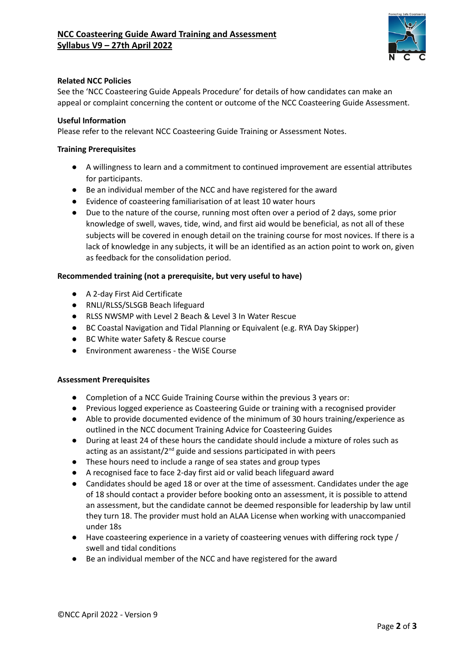

## **Related NCC Policies**

See the 'NCC Coasteering Guide Appeals Procedure' for details of how candidates can make an appeal or complaint concerning the content or outcome of the NCC Coasteering Guide Assessment.

### **Useful Information**

Please refer to the relevant NCC Coasteering Guide Training or Assessment Notes.

#### **Training Prerequisites**

- **●** A willingness to learn and a commitment to continued improvement are essential attributes for participants.
- Be an individual member of the NCC and have registered for the award
- **●** Evidence of coasteering familiarisation of at least 10 water hours
- **●** Due to the nature of the course, running most often over a period of 2 days, some prior knowledge of swell, waves, tide, wind, and first aid would be beneficial, as not all of these subjects will be covered in enough detail on the training course for most novices. If there is a lack of knowledge in any subjects, it will be an identified as an action point to work on, given as feedback for the consolidation period.

### **Recommended training (not a prerequisite, but very useful to have)**

- A 2-day First Aid Certificate
- RNLI/RLSS/SLSGB Beach lifeguard
- RLSS NWSMP with Level 2 Beach & Level 3 In Water Rescue
- BC Coastal Navigation and Tidal Planning or Equivalent (e.g. RYA Day Skipper)
- BC White water Safety & Rescue course
- Environment awareness the WiSE Course

#### **Assessment Prerequisites**

- Completion of a NCC Guide Training Course within the previous 3 years or:
- Previous logged experience as Coasteering Guide or training with a recognised provider
- Able to provide documented evidence of the minimum of 30 hours training/experience as outlined in the NCC document Training Advice for Coasteering Guides
- During at least 24 of these hours the candidate should include a mixture of roles such as acting as an assistant/2<sup>nd</sup> guide and sessions participated in with peers
- These hours need to include a range of sea states and group types
- A recognised face to face 2-day first aid or valid beach lifeguard award
- Candidates should be aged 18 or over at the time of assessment. Candidates under the age of 18 should contact a provider before booking onto an assessment, it is possible to attend an assessment, but the candidate cannot be deemed responsible for leadership by law until they turn 18. The provider must hold an ALAA License when working with unaccompanied under 18s
- Have coasteering experience in a variety of coasteering venues with differing rock type / swell and tidal conditions
- Be an individual member of the NCC and have registered for the award